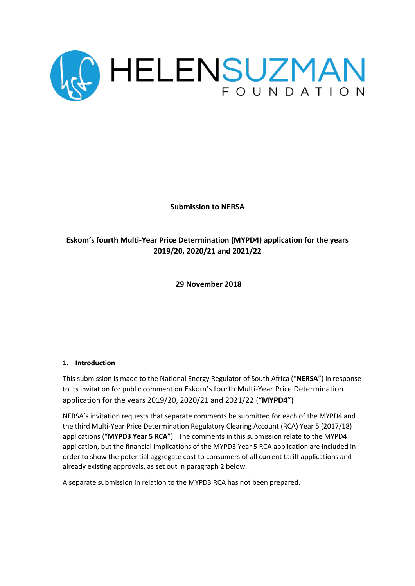

**Submission to NERSA**

# **Eskom's fourth Multi-Year Price Determination (MYPD4) application for the years 2019/20, 2020/21 and 2021/22**

**29 November 2018**

## **1. Introduction**

This submission is made to the National Energy Regulator of South Africa ("**NERSA**") in response to its invitation for public comment on Eskom's fourth Multi-Year Price Determination application for the years 2019/20, 2020/21 and 2021/22 ("**MYPD4**")

NERSA's invitation requests that separate comments be submitted for each of the MYPD4 and the third Multi-Year Price Determination Regulatory Clearing Account (RCA) Year 5 (2017/18) applications ("**MYPD3 Year 5 RCA**"). The comments in this submission relate to the MYPD4 application, but the financial implications of the MYPD3 Year 5 RCA application are included in order to show the potential aggregate cost to consumers of all current tariff applications and already existing approvals, as set out in paragraph 2 below.

A separate submission in relation to the MYPD3 RCA has not been prepared.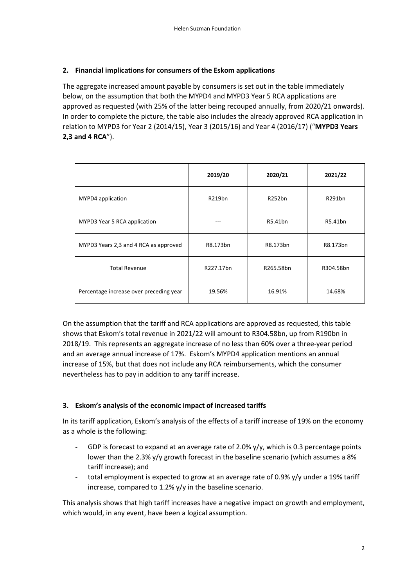## **2. Financial implications for consumers of the Eskom applications**

The aggregate increased amount payable by consumers is set out in the table immediately below, on the assumption that both the MYPD4 and MYPD3 Year 5 RCA applications are approved as requested (with 25% of the latter being recouped annually, from 2020/21 onwards). In order to complete the picture, the table also includes the already approved RCA application in relation to MYPD3 for Year 2 (2014/15), Year 3 (2015/16) and Year 4 (2016/17) ("**MYPD3 Years 2,3 and 4 RCA**").

|                                         | 2019/20   | 2020/21   | 2021/22   |
|-----------------------------------------|-----------|-----------|-----------|
| MYPD4 application                       | R219bn    | R252bn    | R291bn    |
| MYPD3 Year 5 RCA application            |           | R5.41bn   | R5.41bn   |
| MYPD3 Years 2,3 and 4 RCA as approved   | R8.173bn  | R8.173bn  | R8.173bn  |
| <b>Total Revenue</b>                    | R227.17bn | R265.58bn | R304.58bn |
| Percentage increase over preceding year | 19.56%    | 16.91%    | 14.68%    |

On the assumption that the tariff and RCA applications are approved as requested, this table shows that Eskom's total revenue in 2021/22 will amount to R304.58bn, up from R190bn in 2018/19. This represents an aggregate increase of no less than 60% over a three-year period and an average annual increase of 17%. Eskom's MYPD4 application mentions an annual increase of 15%, but that does not include any RCA reimbursements, which the consumer nevertheless has to pay in addition to any tariff increase.

## **3. Eskom's analysis of the economic impact of increased tariffs**

In its tariff application, Eskom's analysis of the effects of a tariff increase of 19% on the economy as a whole is the following:

- GDP is forecast to expand at an average rate of 2.0%  $y/y$ , which is 0.3 percentage points lower than the 2.3% y/y growth forecast in the baseline scenario (which assumes a 8% tariff increase); and
- total employment is expected to grow at an average rate of 0.9% y/y under a 19% tariff increase, compared to 1.2% y/y in the baseline scenario.

This analysis shows that high tariff increases have a negative impact on growth and employment, which would, in any event, have been a logical assumption.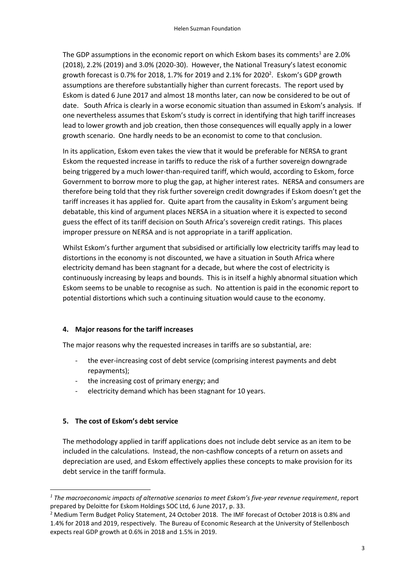The GDP assumptions in the economic report on which Eskom bases its comments<sup>1</sup> are 2.0% (2018), 2.2% (2019) and 3.0% (2020-30). However, the National Treasury's latest economic growth forecast is 0.7% for 2018, 1.7% for 2019 and 2.1% for 2020<sup>2</sup>. Eskom's GDP growth assumptions are therefore substantially higher than current forecasts. The report used by Eskom is dated 6 June 2017 and almost 18 months later, can now be considered to be out of date. South Africa is clearly in a worse economic situation than assumed in Eskom's analysis. If one nevertheless assumes that Eskom's study is correct in identifying that high tariff increases lead to lower growth and job creation, then those consequences will equally apply in a lower growth scenario. One hardly needs to be an economist to come to that conclusion.

In its application, Eskom even takes the view that it would be preferable for NERSA to grant Eskom the requested increase in tariffs to reduce the risk of a further sovereign downgrade being triggered by a much lower-than-required tariff, which would, according to Eskom, force Government to borrow more to plug the gap, at higher interest rates. NERSA and consumers are therefore being told that they risk further sovereign credit downgrades if Eskom doesn't get the tariff increases it has applied for. Quite apart from the causality in Eskom's argument being debatable, this kind of argument places NERSA in a situation where it is expected to second guess the effect of its tariff decision on South Africa's sovereign credit ratings. This places improper pressure on NERSA and is not appropriate in a tariff application.

Whilst Eskom's further argument that subsidised or artificially low electricity tariffs may lead to distortions in the economy is not discounted, we have a situation in South Africa where electricity demand has been stagnant for a decade, but where the cost of electricity is continuously increasing by leaps and bounds. This is in itself a highly abnormal situation which Eskom seems to be unable to recognise as such. No attention is paid in the economic report to potential distortions which such a continuing situation would cause to the economy.

#### **4. Major reasons for the tariff increases**

The major reasons why the requested increases in tariffs are so substantial, are:

- the ever-increasing cost of debt service (comprising interest payments and debt repayments);
- the increasing cost of primary energy; and
- electricity demand which has been stagnant for 10 years.

## **5. The cost of Eskom's debt service**

**.** 

The methodology applied in tariff applications does not include debt service as an item to be included in the calculations. Instead, the non-cashflow concepts of a return on assets and depreciation are used, and Eskom effectively applies these concepts to make provision for its debt service in the tariff formula.

*<sup>1</sup> The macroeconomic impacts of alternative scenarios to meet Eskom's five-year revenue requirement*, report prepared by Deloitte for Eskom Holdings SOC Ltd, 6 June 2017, p. 33.

<sup>2</sup> Medium Term Budget Policy Statement, 24 October 2018. The IMF forecast of October 2018 is 0.8% and 1.4% for 2018 and 2019, respectively. The Bureau of Economic Research at the University of Stellenbosch expects real GDP growth at 0.6% in 2018 and 1.5% in 2019.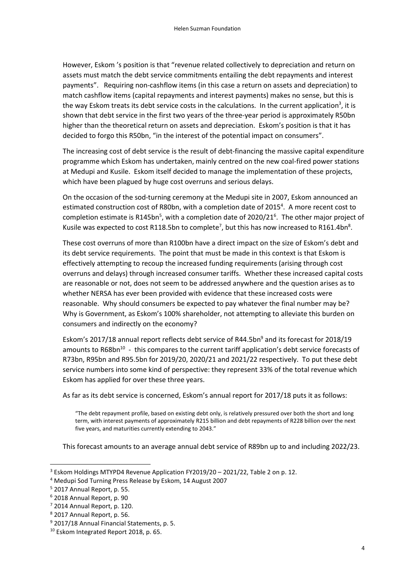However, Eskom 's position is that "revenue related collectively to depreciation and return on assets must match the debt service commitments entailing the debt repayments and interest payments". Requiring non-cashflow items (in this case a return on assets and depreciation) to match cashflow items (capital repayments and interest payments) makes no sense, but this is the way Eskom treats its debt service costs in the calculations. In the current application<sup>3</sup>, it is shown that debt service in the first two years of the three-year period is approximately R50bn higher than the theoretical return on assets and depreciation. Eskom's position is that it has decided to forgo this R50bn, "in the interest of the potential impact on consumers".

The increasing cost of debt service is the result of debt-financing the massive capital expenditure programme which Eskom has undertaken, mainly centred on the new coal-fired power stations at Medupi and Kusile. Eskom itself decided to manage the implementation of these projects, which have been plagued by huge cost overruns and serious delays.

On the occasion of the sod-turning ceremony at the Medupi site in 2007, Eskom announced an estimated construction cost of R80bn, with a completion date of 2015<sup>4</sup>. A more recent cost to completion estimate is R145bn<sup>5</sup>, with a completion date of 2020/21<sup>6</sup>. The other major project of Kusile was expected to cost R118.5bn to complete<sup>7</sup>, but this has now increased to R161.4bn<sup>8</sup>.

These cost overruns of more than R100bn have a direct impact on the size of Eskom's debt and its debt service requirements. The point that must be made in this context is that Eskom is effectively attempting to recoup the increased funding requirements (arising through cost overruns and delays) through increased consumer tariffs. Whether these increased capital costs are reasonable or not, does not seem to be addressed anywhere and the question arises as to whether NERSA has ever been provided with evidence that these increased costs were reasonable. Why should consumers be expected to pay whatever the final number may be? Why is Government, as Eskom's 100% shareholder, not attempting to alleviate this burden on consumers and indirectly on the economy?

Eskom's 2017/18 annual report reflects debt service of R44.5bn<sup>9</sup> and its forecast for 2018/19 amounts to R68bn<sup>10</sup> - this compares to the current tariff application's debt service forecasts of R73bn, R95bn and R95.5bn for 2019/20, 2020/21 and 2021/22 respectively. To put these debt service numbers into some kind of perspective: they represent 33% of the total revenue which Eskom has applied for over these three years.

As far as its debt service is concerned, Eskom's annual report for 2017/18 puts it as follows:

"The debt repayment profile, based on existing debt only, is relatively pressured over both the short and long term, with interest payments of approximately R215 billion and debt repayments of R228 billion over the next five years, and maturities currently extending to 2043."

This forecast amounts to an average annual debt service of R89bn up to and including 2022/23.

1

 $3$  Eskom Holdings MTYPD4 Revenue Application FY2019/20 – 2021/22, Table 2 on p. 12.

<sup>4</sup> Medupi Sod Turning Press Release by Eskom, 14 August 2007

<sup>5</sup> 2017 Annual Report, p. 55.

<sup>6</sup> 2018 Annual Report, p. 90

 $7$  2014 Annual Report, p. 120.

<sup>8</sup> 2017 Annual Report, p. 56.

<sup>9</sup> 2017/18 Annual Financial Statements, p. 5.

<sup>10</sup> Eskom Integrated Report 2018, p. 65.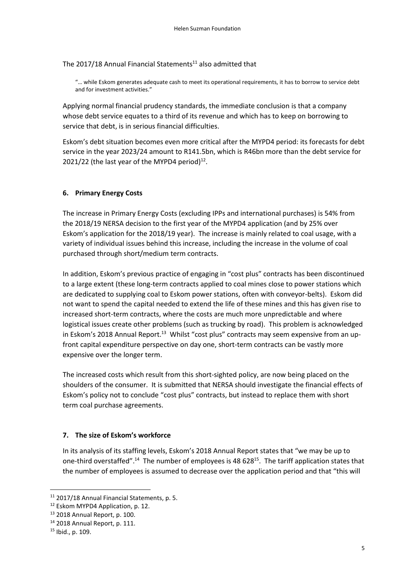The 2017/18 Annual Financial Statements $11$  also admitted that

"… while Eskom generates adequate cash to meet its operational requirements, it has to borrow to service debt and for investment activities."

Applying normal financial prudency standards, the immediate conclusion is that a company whose debt service equates to a third of its revenue and which has to keep on borrowing to service that debt, is in serious financial difficulties.

Eskom's debt situation becomes even more critical after the MYPD4 period: its forecasts for debt service in the year 2023/24 amount to R141.5bn, which is R46bn more than the debt service for 2021/22 (the last year of the MYPD4 period) $^{12}$ .

#### **6. Primary Energy Costs**

The increase in Primary Energy Costs (excluding IPPs and international purchases) is 54% from the 2018/19 NERSA decision to the first year of the MYPD4 application (and by 25% over Eskom's application for the 2018/19 year). The increase is mainly related to coal usage, with a variety of individual issues behind this increase, including the increase in the volume of coal purchased through short/medium term contracts.

In addition, Eskom's previous practice of engaging in "cost plus" contracts has been discontinued to a large extent (these long-term contracts applied to coal mines close to power stations which are dedicated to supplying coal to Eskom power stations, often with conveyor-belts). Eskom did not want to spend the capital needed to extend the life of these mines and this has given rise to increased short-term contracts, where the costs are much more unpredictable and where logistical issues create other problems (such as trucking by road). This problem is acknowledged in Eskom's 2018 Annual Report.<sup>13</sup> Whilst "cost plus" contracts may seem expensive from an upfront capital expenditure perspective on day one, short-term contracts can be vastly more expensive over the longer term.

The increased costs which result from this short-sighted policy, are now being placed on the shoulders of the consumer. It is submitted that NERSA should investigate the financial effects of Eskom's policy not to conclude "cost plus" contracts, but instead to replace them with short term coal purchase agreements.

#### **7. The size of Eskom's workforce**

In its analysis of its staffing levels, Eskom's 2018 Annual Report states that "we may be up to one-third overstaffed".<sup>14</sup> The number of employees is 48 628<sup>15</sup>. The tariff application states that the number of employees is assumed to decrease over the application period and that "this will

**.** 

<sup>11</sup> 2017/18 Annual Financial Statements, p. 5.

<sup>&</sup>lt;sup>12</sup> Eskom MYPD4 Application, p. 12.

<sup>13</sup> 2018 Annual Report, p. 100.

<sup>14</sup> 2018 Annual Report, p. 111.

<sup>15</sup> Ibid., p. 109.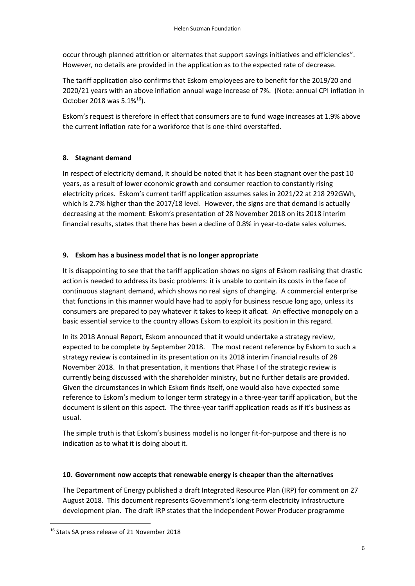occur through planned attrition or alternates that support savings initiatives and efficiencies". However, no details are provided in the application as to the expected rate of decrease.

The tariff application also confirms that Eskom employees are to benefit for the 2019/20 and 2020/21 years with an above inflation annual wage increase of 7%. (Note: annual CPI inflation in October 2018 was  $5.1\%^{16}$ ).

Eskom's request is therefore in effect that consumers are to fund wage increases at 1.9% above the current inflation rate for a workforce that is one-third overstaffed.

## **8. Stagnant demand**

In respect of electricity demand, it should be noted that it has been stagnant over the past 10 years, as a result of lower economic growth and consumer reaction to constantly rising electricity prices. Eskom's current tariff application assumes sales in 2021/22 at 218 292GWh, which is 2.7% higher than the 2017/18 level. However, the signs are that demand is actually decreasing at the moment: Eskom's presentation of 28 November 2018 on its 2018 interim financial results, states that there has been a decline of 0.8% in year-to-date sales volumes.

## **9. Eskom has a business model that is no longer appropriate**

It is disappointing to see that the tariff application shows no signs of Eskom realising that drastic action is needed to address its basic problems: it is unable to contain its costs in the face of continuous stagnant demand, which shows no real signs of changing. A commercial enterprise that functions in this manner would have had to apply for business rescue long ago, unless its consumers are prepared to pay whatever it takes to keep it afloat. An effective monopoly on a basic essential service to the country allows Eskom to exploit its position in this regard.

In its 2018 Annual Report, Eskom announced that it would undertake a strategy review, expected to be complete by September 2018. The most recent reference by Eskom to such a strategy review is contained in its presentation on its 2018 interim financial results of 28 November 2018. In that presentation, it mentions that Phase I of the strategic review is currently being discussed with the shareholder ministry, but no further details are provided. Given the circumstances in which Eskom finds itself, one would also have expected some reference to Eskom's medium to longer term strategy in a three-year tariff application, but the document is silent on this aspect. The three-year tariff application reads as if it's business as usual.

The simple truth is that Eskom's business model is no longer fit-for-purpose and there is no indication as to what it is doing about it.

## **10. Government now accepts that renewable energy is cheaper than the alternatives**

The Department of Energy published a draft Integrated Resource Plan (IRP) for comment on 27 August 2018. This document represents Government's long-term electricity infrastructure development plan. The draft IRP states that the Independent Power Producer programme

**.** 

<sup>16</sup> Stats SA press release of 21 November 2018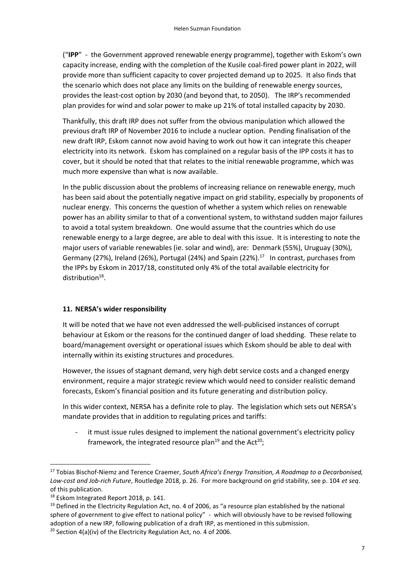("**IPP**" - the Government approved renewable energy programme), together with Eskom's own capacity increase, ending with the completion of the Kusile coal-fired power plant in 2022, will provide more than sufficient capacity to cover projected demand up to 2025. It also finds that the scenario which does not place any limits on the building of renewable energy sources, provides the least-cost option by 2030 (and beyond that, to 2050). The IRP's recommended plan provides for wind and solar power to make up 21% of total installed capacity by 2030.

Thankfully, this draft IRP does not suffer from the obvious manipulation which allowed the previous draft IRP of November 2016 to include a nuclear option. Pending finalisation of the new draft IRP, Eskom cannot now avoid having to work out how it can integrate this cheaper electricity into its network. Eskom has complained on a regular basis of the IPP costs it has to cover, but it should be noted that that relates to the initial renewable programme, which was much more expensive than what is now available.

In the public discussion about the problems of increasing reliance on renewable energy, much has been said about the potentially negative impact on grid stability, especially by proponents of nuclear energy. This concerns the question of whether a system which relies on renewable power has an ability similar to that of a conventional system, to withstand sudden major failures to avoid a total system breakdown. One would assume that the countries which do use renewable energy to a large degree, are able to deal with this issue. It is interesting to note the major users of variable renewables (ie. solar and wind), are: Denmark (55%), Uruguay (30%), Germany (27%), Ireland (26%), Portugal (24%) and Spain (22%). $^{17}$  In contrast, purchases from the IPPs by Eskom in 2017/18, constituted only 4% of the total available electricity for distribution<sup>18</sup>.

## **11. NERSA's wider responsibility**

It will be noted that we have not even addressed the well-publicised instances of corrupt behaviour at Eskom or the reasons for the continued danger of load shedding. These relate to board/management oversight or operational issues which Eskom should be able to deal with internally within its existing structures and procedures.

However, the issues of stagnant demand, very high debt service costs and a changed energy environment, require a major strategic review which would need to consider realistic demand forecasts, Eskom's financial position and its future generating and distribution policy.

In this wider context, NERSA has a definite role to play. The legislation which sets out NERSA's mandate provides that in addition to regulating prices and tariffs:

it must issue rules designed to implement the national government's electricity policy framework, the integrated resource plan<sup>19</sup> and the Act<sup>20</sup>;

1

<sup>17</sup> Tobias Bischof-Niemz and Terence Craemer, *South Africa's Energy Transition, A Roadmap to a Decarbonised, Low-cost and Job-rich Future*, Routledge 2018, p. 26. For more background on grid stability, see p. 104 *et seq*. of this publication.

<sup>18</sup> Eskom Integrated Report 2018, p. 141.

<sup>&</sup>lt;sup>19</sup> Defined in the Electricity Regulation Act, no. 4 of 2006, as "a resource plan established by the national sphere of government to give effect to national policy" - which will obviously have to be revised following adoption of a new IRP, following publication of a draft IRP, as mentioned in this submission.

<sup>&</sup>lt;sup>20</sup> Section 4(a)(iv) of the Electricity Regulation Act, no. 4 of 2006.